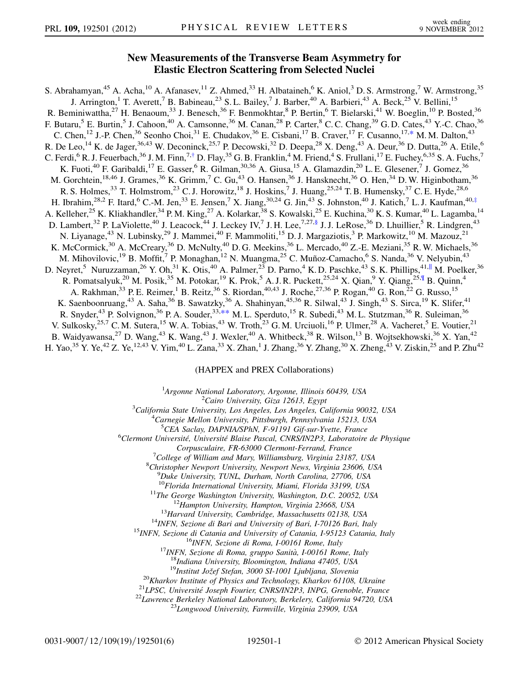## New Measurements of the Transverse Beam Asymmetry for Elastic Electron Scattering from Selected Nuclei

<span id="page-0-3"></span><span id="page-0-2"></span><span id="page-0-1"></span><span id="page-0-0"></span>S. Abrahamyan,<sup>45</sup> A. Acha,<sup>10</sup> A. Afanasev,<sup>11</sup> Z. Ahmed,<sup>33</sup> H. Albataineh,<sup>6</sup> K. Aniol,<sup>3</sup> D. S. Armstrong,<sup>7</sup> W. Armstrong,<sup>35</sup> J. Arrington,<sup>1</sup> T. Averett,<sup>7</sup> B. Babineau,<sup>23</sup> S. L. Bailey,<sup>7</sup> J. Barber,<sup>40</sup> A. Barbieri,<sup>43</sup> A. Beck,<sup>25</sup> V. Bellini,<sup>15</sup> R. Beminiwattha,<sup>27</sup> H. Benaoum,<sup>33</sup> J. Benesch,<sup>36</sup> F. Benmokhtar,<sup>8</sup> P. Bertin,<sup>6</sup> T. Bielarski,<sup>41</sup> W. Boeglin,<sup>10</sup> P. Bosted,<sup>36</sup> F. Butaru,<sup>5</sup> E. Burtin,<sup>5</sup> J. Cahoon,<sup>40</sup> A. Camsonne,<sup>36</sup> M. Canan,<sup>28</sup> P. Carter,<sup>8</sup> C. C. Chang,<sup>39</sup> G. D. Cates,<sup>43</sup> Y.-C. Chao,<sup>36</sup> C. Chen,<sup>12</sup> J.-P. Chen,<sup>36</sup> Seonho Choi,<sup>31</sup> E. Chudakov,<sup>36</sup> E. Cisbani,<sup>17</sup> B. Craver,<sup>17</sup> F. Cusanno,<sup>17,[\\*](#page-5-0)</sup> M. M. Dalton,<sup>43</sup> R. De Leo,<sup>14</sup> K. de Jager,<sup>36,43</sup> W. Deconinck,<sup>25,7</sup> P. Decowski,<sup>32</sup> D. Deepa,<sup>28</sup> X. Deng,<sup>43</sup> A. Deur,<sup>36</sup> D. Dutta,<sup>26</sup> A. Etile,<sup>6</sup> C. Ferdi,<sup>6</sup> R. J. Feuerbach,<sup>36</sup> J. M. Finn,<sup>7,[†](#page-5-1)</sup> D. Flay,<sup>35</sup> G. B. Franklin,<sup>4</sup> M. Friend,<sup>4</sup> S. Frullani,<sup>17</sup> E. Fuchey,<sup>6,35</sup> S. A. Fuchs,<sup>7</sup> K. Fuoti,<sup>40</sup> F. Garibaldi,<sup>17</sup> E. Gasser,<sup>6</sup> R. Gilman,<sup>30,36</sup> A. Giusa,<sup>15</sup> A. Glamazdin,<sup>20</sup> L. E. Glesener,<sup>7</sup> J. Gomez,<sup>36</sup> M. Gorchtein,<sup>18,46</sup> J. Grames,<sup>36</sup> K. Grimm,<sup>7</sup> C. Gu,<sup>43</sup> O. Hansen,<sup>36</sup> J. Hansknecht,<sup>36</sup> O. Hen,<sup>34</sup> D. W. Higinbotham,<sup>36</sup> R. S. Holmes,  $33$  T. Holmstrom,  $23$  C. J. Horowitz,  $18$  J. Hoskins,  $7$  J. Huang,  $25,24$  T. B. Humensky,  $37$  C. E. Hyde,  $28,6$ H. Ibrahim,<sup>28,2</sup> F. Itard,<sup>6</sup> C.-M. Jen,<sup>33</sup> E. Jensen,<sup>7</sup> X. Jiang,<sup>30,24</sup> G. Jin,<sup>43</sup> S. Johnston,<sup>40</sup> J. Katich,<sup>7</sup> L. J. Kaufman,<sup>40,[‡](#page-5-2)</sup> A. Kelleher,<sup>25</sup> K. Kliakhandler,<sup>34</sup> P.M. King,<sup>27</sup> A. Kolarkar,<sup>38</sup> S. Kowalski,<sup>25</sup> E. Kuchina,<sup>30</sup> K. S. Kumar,<sup>40</sup> L. Lagamba,<sup>14</sup> D. Lambert,<sup>32</sup> P. LaViolette,<sup>40</sup> J. Leacock,<sup>44</sup> J. Leckey IV,<sup>7</sup> J. H. Lee,<sup>7,27[,§](#page-5-3)</sup> J. J. LeRose,<sup>36</sup> D. Lhuillier,<sup>5</sup> R. Lindgren,<sup>43</sup> N. Liyanage,<sup>43</sup> N. Lubinsky,<sup>29</sup> J. Mammei,<sup>40</sup> F. Mammoliti,<sup>15</sup> D. J. Margaziotis,<sup>3</sup> P. Markowitz,<sup>10</sup> M. Mazouz,<sup>21</sup> K. McCormick,<sup>30</sup> A. McCreary,<sup>36</sup> D. McNulty,<sup>40</sup> D. G. Meekins,<sup>36</sup> L. Mercado,<sup>40</sup> Z.-E. Meziani,<sup>35</sup> R. W. Michaels,<sup>36</sup> M. Mihovilovic,<sup>19</sup> B. Moffit,<sup>7</sup> P. Monaghan,<sup>12</sup> N. Muangma,<sup>25</sup> C. Muñoz-Camacho,<sup>6</sup> S. Nanda,<sup>36</sup> V. Nelyubin,<sup>43</sup> D. Neyret,<sup>5</sup> Nuruzzaman,<sup>26</sup> Y. Oh,<sup>31</sup> K. Otis,<sup>40</sup> A. Palmer,<sup>23</sup> D. Parno,<sup>4</sup> K. D. Paschke,<sup>43</sup> S. K. Phillips,<sup>41,||</sup> M. Poelker,<sup>36</sup> R. Pomatsalyuk,<sup>20</sup> M. Posik,<sup>35</sup> M. Potokar,<sup>19</sup> K. Prok,<sup>5</sup> A. J. R. Puckett,<sup>25,24</sup> X. Qian,<sup>9</sup> Y. Qiang,<sup>25,{{</sup> B. Quinn,<sup>4</sup> A. Rakhman,<sup>33</sup> P. E. Reimer,<sup>1</sup> B. Reitz,<sup>36</sup> S. Riordan,<sup>40,43</sup> J. Roche,<sup>27,36</sup> P. Rogan,<sup>40</sup> G. Ron,<sup>22</sup> G. Russo,<sup>15</sup> K. Saenboonruang,<sup>43</sup> A. Saha,<sup>36</sup> B. Sawatzky,<sup>36</sup> A. Shahinyan,<sup>45,36</sup> R. Silwal,<sup>43</sup> J. Singh,<sup>43</sup> S. Sirca,<sup>19</sup> K. Slifer,<sup>41</sup> R. Snyder,<sup>43</sup> P. Solvignon,<sup>36</sup> P. A. Souder,<sup>33,\*\*</sup> M. L. Sperduto,<sup>15</sup> R. Subedi,<sup>43</sup> M. L. Stutzman,<sup>36</sup> R. Suleiman,<sup>36</sup> V. Sulkosky,  $^{25,7}$  C. M. Sutera,  $^{15}$  W. A. Tobias,  $^{43}$  W. Troth,  $^{23}$  G. M. Urciuoli,  $^{16}$  P. Ulmer,  $^{28}$  A. Vacheret,  $^{5}$  E. Voutier,  $^{21}$ B. Waidyawansa,<sup>27</sup> D. Wang,<sup>43</sup> K. Wang,<sup>43</sup> J. Wexler,<sup>40</sup> A. Whitbeck,<sup>38</sup> R. Wilson,<sup>13</sup> B. Wojtsekhowski,<sup>36</sup> X. Yan,<sup>42</sup> H. Yao,<sup>35</sup> Y. Ye,<sup>42</sup> Z. Ye,<sup>12,43</sup> V. Yim,<sup>40</sup> L. Zana,<sup>33</sup> X. Zhan,<sup>1</sup> J. Zhang,<sup>36</sup> Y. Zhang,<sup>30</sup> X. Zheng,<sup>43</sup> V. Ziskin,<sup>25</sup> and P. Zhu<sup>42</sup>

## (HAPPEX and PREX Collaborations)

<sup>1</sup>Argonne National Laboratory, Argonne, Illinois 60439, USA<br><sup>2</sup>Caire University Giza 12613, Feynt

<span id="page-0-4"></span> $^{2}$ Cairo University, Giza 12613, Egypt $^{3}$ California State University, Los Angeles, Los Angeles, Co

California State University, Los Angeles, Los Angeles, California 90032, USA <sup>4</sup>

<sup>4</sup>Carnegie Mellon University, Pittsburgh, Pennsylvania 15213, USA<br><sup>5</sup>CEA Saclay, DAPNIA/SPhN, F-91191 Gif-sur-Yvette, France

<sup>5</sup>CEA Saclay, DAPNIA/SPhN, F-91191 Gif-sur-Yvette, France<br><sup>6</sup>Clermont Université, Université Blaise Pascal, CNRS/IN2P3, Laboratoire de Physique

Corpusculaire, FR-63000 Clermont-Ferrand, France <sup>7</sup>

 $\sigma$ <sup>7</sup>College of William and Mary, Williamsburg, Virginia 23187, USA

 ${}^{8}$ Christopher Newport University, Newport News, Virginia 23606, USA

 ${}^{9}$ Duke University, TUNL, Durham, North Carolina, 27706, USA  ${}^{10}$ Florida International University, Miami, Florida 33199, USA

<sup>10</sup>Florida International University, Miami, Florida 33199, USA<br><sup>11</sup>The George Washington University, Washington, D.C. 20052, USA<br><sup>12</sup>Hampton University, Hampton, Virginia 23668, USA<br><sup>13</sup>Harvard University, Cambridge, Mas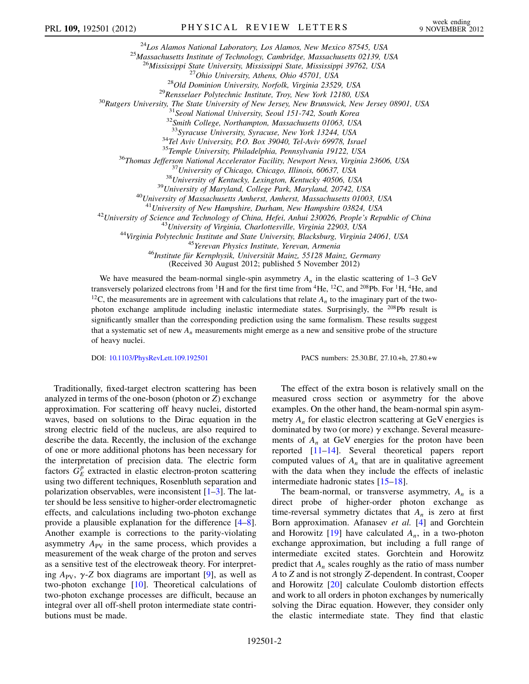<sup>24</sup>Los Alamos National Laboratory, Los Alamos, New Mexico 87545, USA<br><sup>25</sup>Massachusetts Institute of Technology, Cambridge, Massachusetts 02139, USA<br><sup>26</sup>Mississippi State University, Mississippi State, Mississippi 39762,

<sup>34</sup>Tel Aviv University, P.O. Box 39040, Tel-Aviv 69978, Israel<br><sup>35</sup>Temple University, Philadelphia, Pennsylvania 19122, USA<br><sup>36</sup>Thomas Jefferson National Accelerator Facility, Newport News, Virginia 23606, USA<br><sup>37</sup>Univer

<sup>41</sup>University of New Hampshire, Durham, New Hampshire 03824, USA<br><sup>42</sup>University of Science and Technology of China, Hefei, Anhui 230026, People's Republic of China<br><sup>43</sup>University of Virginia, Charlottesville, Virginia 22

(Received 30 August 2012; published 5 November 2012)

We have measured the beam-normal single-spin asymmetry  $A_n$  in the elastic scattering of 1–3 GeV transversely polarized electrons from  ${}^{1}H$  and for the first time from  ${}^{4}He$ ,  ${}^{12}C$ , and  ${}^{208}Pb$ . For  ${}^{1}H$ ,  ${}^{4}He$ , and <sup>12</sup>C, the measurements are in agreement with calculations that relate  $A_n$  to the imaginary part of the twophoton exchange amplitude including inelastic intermediate states. Surprisingly, the  $208Pb$  result is significantly smaller than the corresponding prediction using the same formalism. These results suggest that a systematic set of new  $A_n$  measurements might emerge as a new and sensitive probe of the structure of heavy nuclei.

DOI: [10.1103/PhysRevLett.109.192501](http://dx.doi.org/10.1103/PhysRevLett.109.192501) PACS numbers: 25.30.Bf, 27.10.+h, 27.80.+w

Traditionally, fixed-target electron scattering has been analyzed in terms of the one-boson (photon or Z) exchange approximation. For scattering off heavy nuclei, distorted waves, based on solutions to the Dirac equation in the strong electric field of the nucleus, are also required to describe the data. Recently, the inclusion of the exchange of one or more additional photons has been necessary for the interpretation of precision data. The electric form factors  $\dot{G}_{E}^{p}$  extracted in elastic electron-proton scattering using two different techniques, Rosenbluth separation and polarization observables, were inconsistent [\[1](#page-5-4)–[3\]](#page-5-5). The latter should be less sensitive to higher-order electromagnetic effects, and calculations including two-photon exchange provide a plausible explanation for the difference [\[4](#page-5-6)–[8\]](#page-5-7). Another example is corrections to the parity-violating asymmetry  $A_{PV}$  in the same process, which provides a measurement of the weak charge of the proton and serves as a sensitive test of the electroweak theory. For interpreting  $A_{\rm PV}$ ,  $\gamma$ -Z box diagrams are important [[9](#page-5-8)], as well as two-photon exchange [\[10\]](#page-5-9). Theoretical calculations of two-photon exchange processes are difficult, because an integral over all off-shell proton intermediate state contributions must be made.

The effect of the extra boson is relatively small on the measured cross section or asymmetry for the above examples. On the other hand, the beam-normal spin asymmetry  $A_n$  for elastic electron scattering at GeV energies is dominated by two (or more)  $\gamma$  exchange. Several measurements of  $A_n$  at GeV energies for the proton have been reported [[11](#page-5-10)[–14\]](#page-5-11). Several theoretical papers report computed values of  $A_n$  that are in qualitative agreement with the data when they include the effects of inelastic intermediate hadronic states [\[15–](#page-5-12)[18](#page-5-13)].

The beam-normal, or transverse asymmetry,  $A_n$  is a direct probe of higher-order photon exchange as time-reversal symmetry dictates that  $A_n$  is zero at first Born approximation. Afanasev et al. [[4\]](#page-5-6) and Gorchtein and Horowitz  $[19]$  $[19]$  $[19]$  have calculated  $A_n$ , in a two-photon exchange approximation, but including a full range of intermediate excited states. Gorchtein and Horowitz predict that  $A_n$  scales roughly as the ratio of mass number A to Z and is not strongly Z-dependent. In contrast, Cooper and Horowitz [[20\]](#page-5-15) calculate Coulomb distortion effects and work to all orders in photon exchanges by numerically solving the Dirac equation. However, they consider only the elastic intermediate state. They find that elastic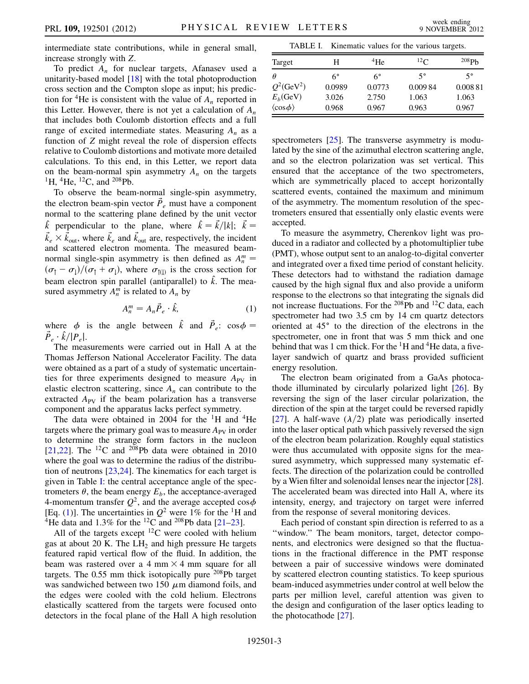intermediate state contributions, while in general small, increase strongly with Z.

To predict  $A_n$  for nuclear targets, Afanasev used a unitarity-based model [[18](#page-5-13)] with the total photoproduction cross section and the Compton slope as input; his prediction for <sup>4</sup>He is consistent with the value of  $A_n$  reported in this Letter. However, there is not yet a calculation of  $A_n$ that includes both Coulomb distortion effects and a full range of excited intermediate states. Measuring  $A_n$  as a function of Z might reveal the role of dispersion effects relative to Coulomb distortions and motivate more detailed calculations. To this end, in this Letter, we report data on the beam-normal spin asymmetry  $A_n$  on the targets <sup>1</sup>H, <sup>4</sup>He, <sup>12</sup>C, and <sup>208</sup>Pb.

To observe the beam-normal single-spin asymmetry, the electron beam-spin vector  $\vec{P}_e$  must have a component normal to the scattering plane defined by the unit vector  $\hat{k}$  perpendicular to the plane, where  $\hat{k} = \vec{k}/|k|$ ;  $\vec{k} =$  $\vec{k}_e \times \vec{k}_{\text{out}}$ , where  $\vec{k}_e$  and  $\vec{k}_{\text{out}}$  are, respectively, the incident and scattered electron momenta. The measured beamnormal single-spin asymmetry is then defined as  $A_n^m =$  $(\sigma_{\uparrow} - \sigma_{\downarrow})/(\sigma_{\uparrow} + \sigma_{\downarrow})$ , where  $\sigma_{\uparrow(\downarrow)}$  is the cross section for beam electron spin parallel (antiparallel) to  $\hat{k}$ . The measured asymmetry  $A_n^m$  is related to  $A_n$  by

$$
A_n^m = A_n \vec{P}_e \cdot \hat{k}, \tag{1}
$$

<span id="page-2-1"></span>where  $\phi$  is the angle between  $\hat{k}$  and  $\vec{P}_e$ :  $\cos \phi =$  $\vec{P}_e \cdot \hat{k}/|P_e|$ .

The measurements were carried out in Hall A at the Thomas Jefferson National Accelerator Facility. The data were obtained as a part of a study of systematic uncertainties for three experiments designed to measure  $A_{PV}$  in elastic electron scattering, since  $A_n$  can contribute to the extracted  $A_{PV}$  if the beam polarization has a transverse component and the apparatus lacks perfect symmetry.

The data were obtained in 2004 for the  ${}^{1}H$  and  ${}^{4}He$ targets where the primary goal was to measure  $A_{PV}$  in order to determine the strange form factors in the nucleon [\[21](#page-5-16)[,22\]](#page-5-17). The  $^{12}$ C and  $^{208}$ Pb data were obtained in 2010 where the goal was to determine the radius of the distribution of neutrons [\[23,](#page-5-18)[24\]](#page-5-19). The kinematics for each target is given in Table [I:](#page-2-0) the central acceptance angle of the spectrometers  $\theta$ , the beam energy  $E_b$ , the acceptance-averaged 4-momentum transfer  $Q^2$ , and the average accepted  $\cos \phi$ [Eq. [\(1](#page-2-1))]. The uncertainties in  $Q^2$  were 1% for the <sup>1</sup>H and <sup>4</sup>He data and 1.3% for the <sup>12</sup>C and <sup>208</sup>Pb data [[21](#page-5-16)[–23\]](#page-5-18).

All of the targets except  ${}^{12}C$  were cooled with helium gas at about 20 K. The  $LH<sub>2</sub>$  and high pressure He targets featured rapid vertical flow of the fluid. In addition, the beam was rastered over a 4 mm  $\times$  4 mm square for all targets. The  $0.55$  mm thick isotopically pure  $208$ Pb target was sandwiched between two 150  $\mu$ m diamond foils, and the edges were cooled with the cold helium. Electrons elastically scattered from the targets were focused onto detectors in the focal plane of the Hall A high resolution

<span id="page-2-0"></span>

| TABLE I.<br>Kinematic values for the various targets. |             |             |             |                   |  |  |  |  |
|-------------------------------------------------------|-------------|-------------|-------------|-------------------|--|--|--|--|
| Target                                                | H           | $^{4}$ He   | $^{12}$ C   | 208P <sub>b</sub> |  |  |  |  |
| Ĥ                                                     | $6^{\circ}$ | $6^{\circ}$ | $5^{\circ}$ | 5°                |  |  |  |  |
| $Q^2$ (GeV <sup>2</sup> )                             | 0.0989      | 0.0773      | 0.00984     | 0.00881           |  |  |  |  |
| $E_h$ (GeV)                                           | 3.026       | 2.750       | 1.063       | 1.063             |  |  |  |  |
| $\langle \cos \phi \rangle$                           | 0.968       | 0.967       | 0.963       | 0.967             |  |  |  |  |

spectrometers [\[25\]](#page-5-20). The transverse asymmetry is modulated by the sine of the azimuthal electron scattering angle, and so the electron polarization was set vertical. This ensured that the acceptance of the two spectrometers, which are symmetrically placed to accept horizontally scattered events, contained the maximum and minimum of the asymmetry. The momentum resolution of the spectrometers ensured that essentially only elastic events were accepted.

To measure the asymmetry, Cherenkov light was produced in a radiator and collected by a photomultiplier tube (PMT), whose output sent to an analog-to-digital converter and integrated over a fixed time period of constant helicity. These detectors had to withstand the radiation damage caused by the high signal flux and also provide a uniform response to the electrons so that integrating the signals did not increase fluctuations. For the <sup>208</sup>Pb and <sup>12</sup>C data, each spectrometer had two 3.5 cm by 14 cm quartz detectors oriented at  $45^\circ$  to the direction of the electrons in the spectrometer, one in front that was 5 mm thick and one behind that was 1 cm thick. For the  ${}^{1}$ H and  ${}^{4}$ He data, a fivelayer sandwich of quartz and brass provided sufficient energy resolution.

The electron beam originated from a GaAs photocathode illuminated by circularly polarized light [[26](#page-5-21)]. By reversing the sign of the laser circular polarization, the direction of the spin at the target could be reversed rapidly [\[27\]](#page-5-22). A half-wave  $(\lambda/2)$  plate was periodically inserted into the laser optical path which passively reversed the sign of the electron beam polarization. Roughly equal statistics were thus accumulated with opposite signs for the measured asymmetry, which suppressed many systematic effects. The direction of the polarization could be controlled by a Wien filter and solenoidal lenses near the injector [[28\]](#page-5-23). The accelerated beam was directed into Hall A, where its intensity, energy, and trajectory on target were inferred from the response of several monitoring devices.

Each period of constant spin direction is referred to as a "window." The beam monitors, target, detector components, and electronics were designed so that the fluctuations in the fractional difference in the PMT response between a pair of successive windows were dominated by scattered electron counting statistics. To keep spurious beam-induced asymmetries under control at well below the parts per million level, careful attention was given to the design and configuration of the laser optics leading to the photocathode [[27](#page-5-22)].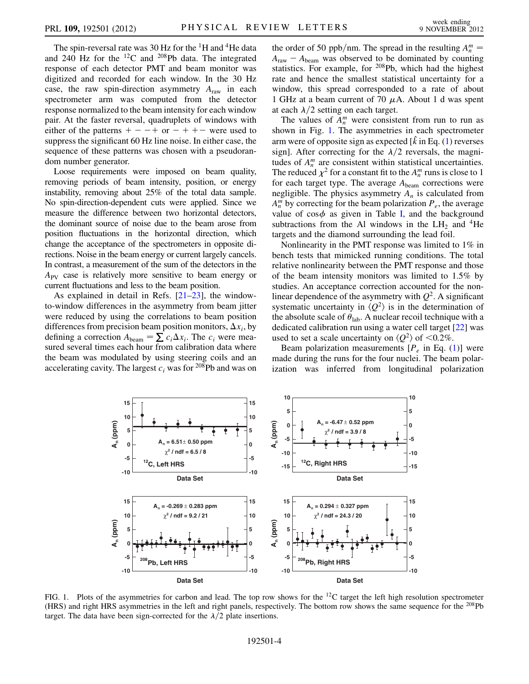The spin-reversal rate was 30 Hz for the <sup>1</sup>H and <sup>4</sup>He data and 240 Hz for the  $^{12}$ C and  $^{208}$ Pb data. The integrated response of each detector PMT and beam monitor was digitized and recorded for each window. In the 30 Hz case, the raw spin-direction asymmetry  $A<sub>raw</sub>$  in each spectrometer arm was computed from the detector response normalized to the beam intensity for each window pair. At the faster reversal, quadruplets of windows with either of the patterns  $+ - - +$  or  $- + + -$  were used to suppress the significant 60 Hz line noise. In either case, the sequence of these patterns was chosen with a pseudorandom number generator.

Loose requirements were imposed on beam quality, removing periods of beam intensity, position, or energy instability, removing about 25% of the total data sample. No spin-direction-dependent cuts were applied. Since we measure the difference between two horizontal detectors, the dominant source of noise due to the beam arose from position fluctuations in the horizontal direction, which change the acceptance of the spectrometers in opposite directions. Noise in the beam energy or current largely cancels. In contrast, a measurement of the sum of the detectors in the  $A_{PV}$  case is relatively more sensitive to beam energy or current fluctuations and less to the beam position.

As explained in detail in Refs. [\[21–](#page-5-16)[23](#page-5-18)], the windowto-window differences in the asymmetry from beam jitter were reduced by using the correlations to beam position differences from precision beam position monitors,  $\Delta x_i$ , by defining a correction  $A_{\text{beam}} = \sum c_i \Delta x_i$ . The  $c_i$  were measured several times each hour from calibration data where the beam was modulated by using steering coils and an accelerating cavity. The largest  $c_i$  was for <sup>208</sup>Pb and was on

the order of 50 ppb/nm. The spread in the resulting  $A_n^m$  =  $A_{\text{raw}} - A_{\text{beam}}$  was observed to be dominated by counting statistics. For example, for <sup>208</sup>Pb, which had the highest rate and hence the smallest statistical uncertainty for a window, this spread corresponded to a rate of about 1 GHz at a beam current of 70  $\mu$ A. About 1 d was spent at each  $\lambda/2$  setting on each target.

The values of  $A_n^m$  were consistent from run to run as shown in Fig. [1.](#page-3-0) The asymmetries in each spectrometer arm were of opposite sign as expected  $[\hat{k}$  in Eq. [\(1](#page-2-1)) reverses sign]. After correcting for the  $\lambda/2$  reversals, the magnitudes of  $A_n^m$  are consistent within statistical uncertainties. The reduced  $\chi^2$  for a constant fit to the  $A_n^m$  runs is close to 1 for each target type. The average  $A_{\text{beam}}$  corrections were negligible. The physics asymmetry  $A_n$  is calculated from  $A_n^m$  by correcting for the beam polarization  $P_e$ , the average value of  $\cos \phi$  as given in Table [I](#page-2-0), and the background subtractions from the Al windows in the  $LH_2$  and <sup>4</sup>He targets and the diamond surrounding the lead foil.

Nonlinearity in the PMT response was limited to 1% in bench tests that mimicked running conditions. The total relative nonlinearity between the PMT response and those of the beam intensity monitors was limited to 1.5% by studies. An acceptance correction accounted for the nonlinear dependence of the asymmetry with  $Q^2$ . A significant systematic uncertainty in  $\langle Q^2 \rangle$  is in the determination of the absolute scale of  $\theta_{lab}$ . A nuclear recoil technique with a dedicated calibration run using a water cell target [\[22\]](#page-5-17) was used to set a scale uncertainty on  $\langle Q^2 \rangle$  of  $\langle 0.2\% \rangle$ .

Beam polarization measurements  $[P_e]$  in Eq. ([1\)](#page-2-1)] were made during the runs for the four nuclei. The beam polarization was inferred from longitudinal polarization

<span id="page-3-0"></span>

FIG. 1. Plots of the asymmetries for carbon and lead. The top row shows for the  $^{12}C$  target the left high resolution spectrometer (HRS) and right HRS asymmetries in the left and right panels, respectively. The bottom row shows the same sequence for the 208Pb target. The data have been sign-corrected for the  $\lambda/2$  plate insertions.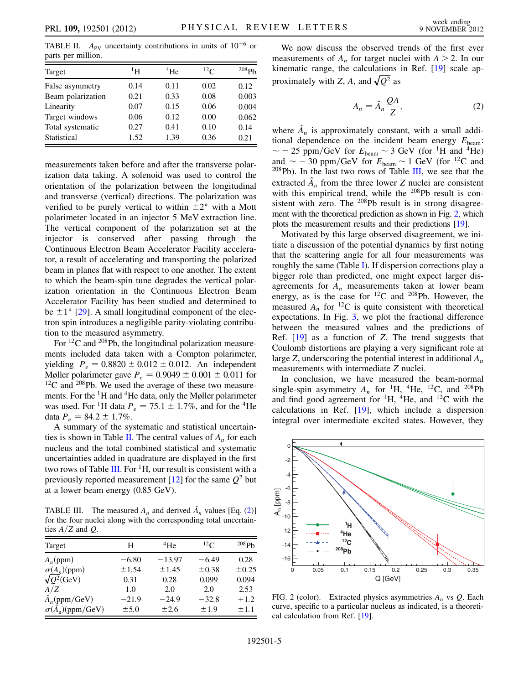<span id="page-4-0"></span>TABLE II.  $A_{\text{PV}}$  uncertainty contributions in units of  $10^{-6}$  or parts per million.

| Target            | $^1$ H | $^{4}$ He | $^{12}$ C | 208Pb |
|-------------------|--------|-----------|-----------|-------|
| False asymmetry   | 0.14   | 0.11      | 0.02      | 0.12  |
| Beam polarization | 0.21   | 0.33      | 0.08      | 0.003 |
| Linearity         | 0.07   | 0.15      | 0.06      | 0.004 |
| Target windows    | 0.06   | 0.12      | 0.00      | 0.062 |
| Total systematic  | 0.27   | 0.41      | 0.10      | 0.14  |
| Statistical       | 1.52   | 1.39      | 0.36      | 0.21  |

measurements taken before and after the transverse polarization data taking. A solenoid was used to control the orientation of the polarization between the longitudinal and transverse (vertical) directions. The polarization was verified to be purely vertical to within  $\pm 2^{\circ}$  with a Mott polarimeter located in an injector 5 MeV extraction line. The vertical component of the polarization set at the injector is conserved after passing through the Continuous Electron Beam Accelerator Facility accelerator, a result of accelerating and transporting the polarized beam in planes flat with respect to one another. The extent to which the beam-spin tune degrades the vertical polarization orientation in the Continuous Electron Beam Accelerator Facility has been studied and determined to be  $\pm 1^{\circ}$  [\[29\]](#page-5-24). A small longitudinal component of the electron spin introduces a negligible parity-violating contribution to the measured asymmetry.

For  ${}^{12}C$  and  ${}^{208}Pb$ , the longitudinal polarization measurements included data taken with a Compton polarimeter, yielding  $P_e = 0.8820 \pm 0.012 \pm 0.012$ . An independent Møller polarimeter gave  $P_e = 0.9049 \pm 0.001 \pm 0.011$  for <sup>12</sup>C and <sup>208</sup>Pb. We used the average of these two measurements. For the  ${}^{1}$ H and  ${}^{4}$ He data, only the Møller polarimeter was used. For <sup>1</sup>H data  $P_e = 75.1 \pm 1.7\%$ , and for the <sup>4</sup>He data  $P_e = 84.2 \pm 1.7\%$ .

A summary of the systematic and statistical uncertain-ties is shown in Table [II.](#page-4-0) The central values of  $A_n$  for each nucleus and the total combined statistical and systematic uncertainties added in quadrature are displayed in the first two rows of Table [III.](#page-4-1) For  ${}^{1}H$ , our result is consistent with a previously reported measurement [\[12\]](#page-5-25) for the same  $Q^2$  but at a lower beam energy (0.85 GeV).

<span id="page-4-1"></span>TABLE III. The measured  $A_n$  and derived  $\hat{A}_n$  values [Eq. ([2\)](#page-4-3)] for the four nuclei along with the corresponding total uncertainties  $A/Z$  and  $Q$ .

| Target                        | H       | $^{4}$ He  | $^{12}$ C | 208P <sub>b</sub> |
|-------------------------------|---------|------------|-----------|-------------------|
| $A_n$ (ppm)                   | $-6.80$ | $-13.97$   | $-6.49$   | 0.28              |
| $\sigma(A_n)(ppm)$            | ±1.54   | $\pm 1.45$ | ±0.38     | $\pm 0.25$        |
| $\sqrt{Q^2}$ (GeV)            | 0.31    | 0.28       | 0.099     | 0.094             |
| A/Z                           | 1.0     | 2.0        | 2.0       | 2.53              |
| $\hat{A}_n$ (ppm/GeV)         | $-21.9$ | $-24.9$    | $-32.8$   | $+1.2$            |
| $\sigma(\bar{A}_n)$ (ppm/GeV) | ± 5.0   | $\pm 2.6$  | $+1.9$    | $+1.1$            |

<span id="page-4-3"></span>We now discuss the observed trends of the first ever measurements of  $A_n$  for target nuclei with  $A > 2$ . In our kinematic range, the calculations in Ref. [\[19\]](#page-5-14) scale approximately with Z, A, and  $\sqrt{Q^2}$  as

$$
A_n = \hat{A}_n \frac{QA}{Z},\tag{2}
$$

where  $\hat{A}_n$  is approximately constant, with a small additional dependence on the incident beam energy  $E_{\text{beam}}$ :  $\sim$  - 25 ppm/GeV for  $E_{\text{beam}} \sim$  3 GeV (for <sup>1</sup>H and <sup>4</sup>He) and  $\sim$  - 30 ppm/GeV for  $E_{\text{beam}} \sim 1 \text{ GeV}$  (for <sup>12</sup>C and  $208Pb$ ). In the last two rows of Table [III](#page-4-1), we see that the extracted  $\hat{A}_n$  from the three lower Z nuclei are consistent with this empirical trend, while the 208Pb result is consistent with zero. The 208Pb result is in strong disagreement with the theoretical prediction as shown in Fig. [2,](#page-4-2) which plots the measurement results and their predictions [\[19\]](#page-5-14).

Motivated by this large observed disagreement, we initiate a discussion of the potential dynamics by first noting that the scattering angle for all four measurements was roughly the same (Table [I](#page-2-0)). If dispersion corrections play a bigger role than predicted, one might expect larger disagreements for  $A_n$  measurements taken at lower beam energy, as is the case for  $^{12}$ C and  $^{208}$ Pb. However, the measured  $A_n$  for <sup>12</sup>C is quite consistent with theoretical expectations. In Fig. [3,](#page-5-26) we plot the fractional difference between the measured values and the predictions of Ref. [[19](#page-5-14)] as a function of Z. The trend suggests that Coulomb distortions are playing a very significant role at large Z, underscoring the potential interest in additional  $A_n$ measurements with intermediate Z nuclei.

In conclusion, we have measured the beam-normal single-spin asymmetry  $A_n$  for <sup>1</sup>H, <sup>4</sup>He, <sup>12</sup>C, and <sup>208</sup>Pb and find good agreement for  ${}^{1}H$ ,  ${}^{4}He$ , and  ${}^{12}C$  with the calculations in Ref. [[19](#page-5-14)], which include a dispersion integral over intermediate excited states. However, they

<span id="page-4-2"></span>

FIG. 2 (color). Extracted physics asymmetries  $A_n$  vs  $Q$ . Each curve, specific to a particular nucleus as indicated, is a theoretical calculation from Ref. [[19](#page-5-14)].